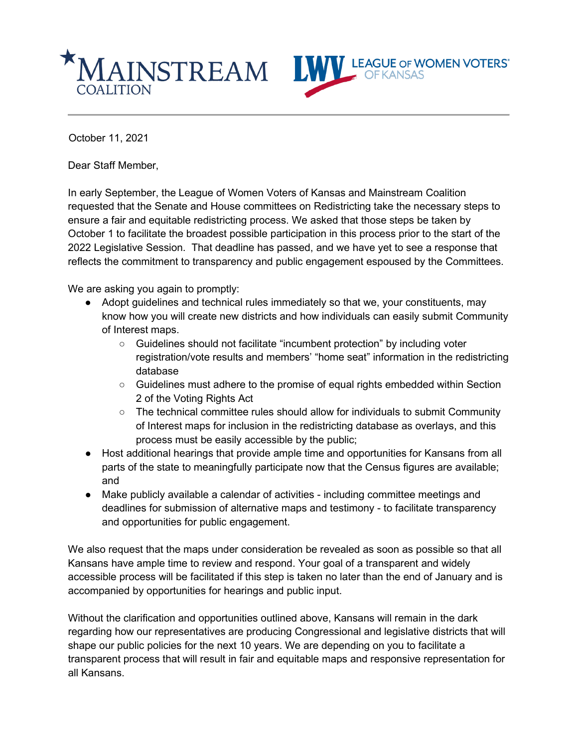

October 11, 2021

Dear Staff Member,

In early September, the League of Women Voters of Kansas and Mainstream Coalition requested that the Senate and House committees on Redistricting take the necessary steps to ensure a fair and equitable redistricting process. We asked that those steps be taken by October 1 to facilitate the broadest possible participation in this process prior to the start of the 2022 Legislative Session. That deadline has passed, and we have yet to see a response that reflects the commitment to transparency and public engagement espoused by the Committees.

We are asking you again to promptly:

- Adopt guidelines and technical rules immediately so that we, your constituents, may know how you will create new districts and how individuals can easily submit Community of Interest maps.
	- Guidelines should not facilitate "incumbent protection" by including voter registration/vote results and members' "home seat" information in the redistricting database
	- Guidelines must adhere to the promise of equal rights embedded within Section 2 of the Voting Rights Act
	- The technical committee rules should allow for individuals to submit Community of Interest maps for inclusion in the redistricting database as overlays, and this process must be easily accessible by the public;
- Host additional hearings that provide ample time and opportunities for Kansans from all parts of the state to meaningfully participate now that the Census figures are available; and
- Make publicly available a calendar of activities including committee meetings and deadlines for submission of alternative maps and testimony - to facilitate transparency and opportunities for public engagement.

We also request that the maps under consideration be revealed as soon as possible so that all Kansans have ample time to review and respond. Your goal of a transparent and widely accessible process will be facilitated if this step is taken no later than the end of January and is accompanied by opportunities for hearings and public input.

Without the clarification and opportunities outlined above, Kansans will remain in the dark regarding how our representatives are producing Congressional and legislative districts that will shape our public policies for the next 10 years. We are depending on you to facilitate a transparent process that will result in fair and equitable maps and responsive representation for all Kansans.